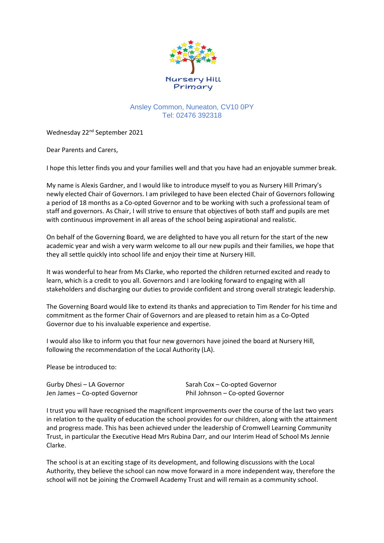

## Ansley Common, Nuneaton, CV10 0PY Tel: 02476 392318

Wednesday 22<sup>nd</sup> September 2021

Dear Parents and Carers,

I hope this letter finds you and your families well and that you have had an enjoyable summer break.

My name is Alexis Gardner, and I would like to introduce myself to you as Nursery Hill Primary's newly elected Chair of Governors. I am privileged to have been elected Chair of Governors following a period of 18 months as a Co-opted Governor and to be working with such a professional team of staff and governors. As Chair, I will strive to ensure that objectives of both staff and pupils are met with continuous improvement in all areas of the school being aspirational and realistic.

On behalf of the Governing Board, we are delighted to have you all return for the start of the new academic year and wish a very warm welcome to all our new pupils and their families, we hope that they all settle quickly into school life and enjoy their time at Nursery Hill.

It was wonderful to hear from Ms Clarke, who reported the children returned excited and ready to learn, which is a credit to you all. Governors and I are looking forward to engaging with all stakeholders and discharging our duties to provide confident and strong overall strategic leadership.

The Governing Board would like to extend its thanks and appreciation to Tim Render for his time and commitment as the former Chair of Governors and are pleased to retain him as a Co-Opted Governor due to his invaluable experience and expertise.

I would also like to inform you that four new governors have joined the board at Nursery Hill, following the recommendation of the Local Authority (LA).

Please be introduced to:

Gurby Dhesi – LA Governor Sarah Cox – Co-opted Governor

Jen James – Co-opted Governor Phil Johnson – Co-opted Governor

I trust you will have recognised the magnificent improvements over the course of the last two years in relation to the quality of education the school provides for our children, along with the attainment and progress made. This has been achieved under the leadership of Cromwell Learning Community Trust, in particular the Executive Head Mrs Rubina Darr, and our Interim Head of School Ms Jennie Clarke.

The school is at an exciting stage of its development, and following discussions with the Local Authority, they believe the school can now move forward in a more independent way, therefore the school will not be joining the Cromwell Academy Trust and will remain as a community school.